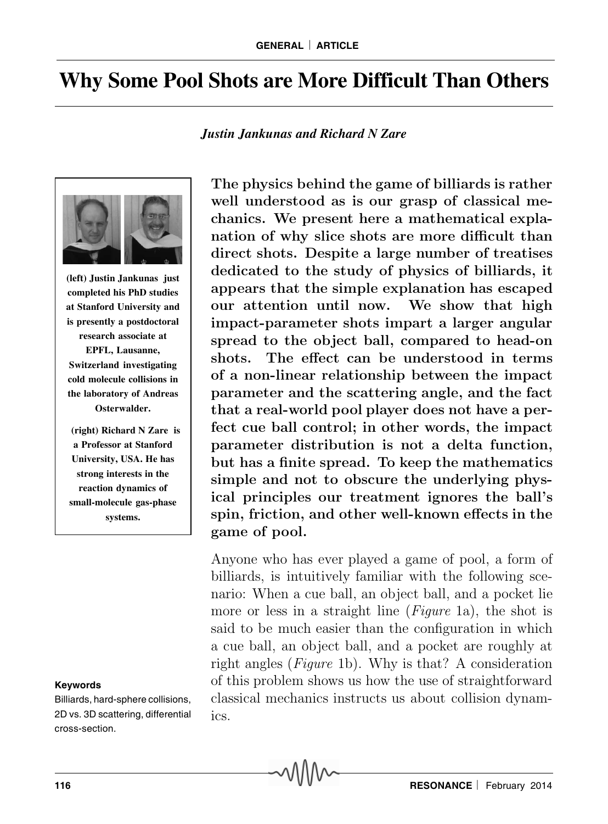## **Why Some Pool Shots are More Difficult Than Others**

*Justin Jankunas and Richard N Zare*



**(left) Justin Jankunas just completed his PhD studies at Stanford University and is presently a postdoctoral research associate at EPFL, Lausanne, Switzerland investigating cold molecule collisions in the laboratory of Andreas Osterwalder.**

 **(right) Richard N Zare is a Professor at Stanford University, USA. He has strong interests in the reaction dynamics of small-molecule gas-phase systems.**

## **Keywords**

Billiards, hard-sphere collisions, 2D vs. 3D scattering, differential cross-section.

The physics behind the game of billiards is rather well understood as is our grasp of classical mechanics. We present here a mathematical explanation of why slice shots are more difficult than direct shots. Despite a large number of treatises dedicated to the study of physics of billiards, it appears that the simple explanation has escaped our attention until now. We show that high impact-parameter shots impart a larger angular spread to the object ball, compared to head-on shots. The effect can be understood in terms of a non-linear relationship between the impact parameter and the scattering angle, and the fact that a real-world pool player does not have a perfect cue ball control; in other words, the impact parameter distribution is not a delta function, but has a finite spread. To keep the mathematics simple and not to obscure the underlying physical principles our treatment ignores the ball's spin, friction, and other well-known effects in the game of pool.

Anyone who has ever played a game of pool, a form of billiards, is intuitively familiar with the following scenario: When a cue ball, an object ball, and a pocket lie more or less in a straight line *(Figure 1a)*, the shot is said to be much easier than the configuration in which a cue ball, an object ball, and a pocket are roughly at right angles (Figure 1b). Why is that? A consideration of this problem shows us how the use of straightforward classical mechanics instructs us about collision dynamics.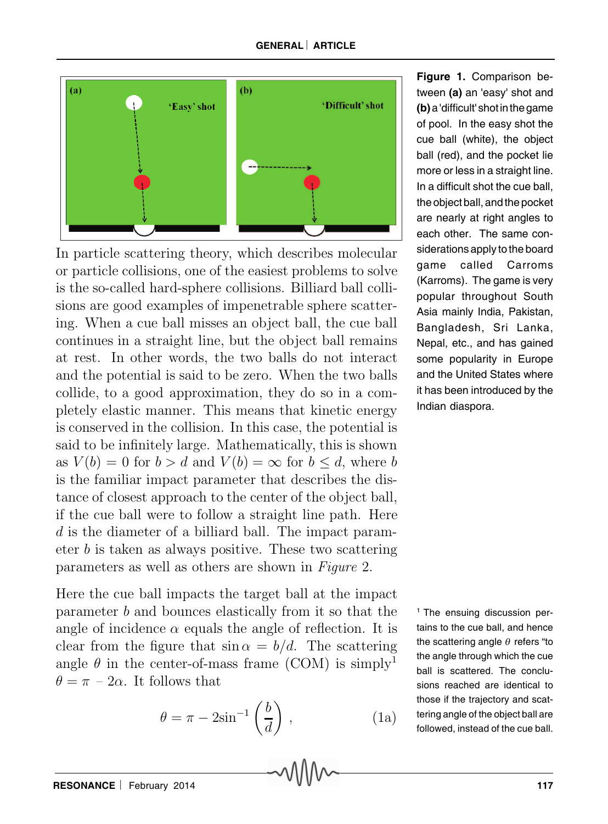

In particle scattering theory, which describes molecular or particle collisions, one of the easiest problems to solve is the so-called hard-sphere collisions. Billiard ball collisions are good examples of impenetrable sphere scattering. When a cue ball misses an object ball, the cue ball continues in a straight line, but the object ball remains at rest. In other words, the two balls do not interact and the potential is said to be zero. When the two balls collide, to a good approximation, they do so in a completely elastic manner. This means that kinetic energy is conserved in the collision. In this case, the potential is said to be infinitely large. Mathematically, this is shown as  $V(b) = 0$  for  $b > d$  and  $V(b) = \infty$  for  $b \leq d$ , where b is the familiar impact parameter that describes the distance of closest approach to the center of the object ball, if the cue ball were to follow a straight line path. Here d is the diameter of a billiard ball. The impact parameter  $b$  is taken as always positive. These two scattering parameters as well as others are shown in Figure 2.

Here the cue ball impacts the target ball at the impact parameter b and bounces elastically from it so that the angle of incidence  $\alpha$  equals the angle of reflection. It is clear from the figure that  $\sin \alpha = b/d$ . The scattering angle  $\theta$  in the center-of-mass frame (COM) is simply<sup>1</sup>  $\theta = \pi - 2\alpha$ . It follows that

$$
\theta = \pi - 2\sin^{-1}\left(\frac{b}{d}\right),\tag{1a}
$$

**Figure 1.** Comparison between **(a)** an 'easy' shot and **(b)** a 'difficult' shot in the game of pool. In the easy shot the cue ball (white), the object ball (red), and the pocket lie more or less in a straight line. In a difficult shot the cue ball, the object ball, and the pocket are nearly at right angles to each other. The same considerations apply to the board game called Carroms (Karroms). The game is very popular throughout South Asia mainly India, Pakistan, Bangladesh, Sri Lanka, Nepal, etc., and has gained some popularity in Europe and the United States where it has been introduced by the Indian diaspora.

<sup>1</sup> The ensuing discussion pertains to the cue ball, and hence the scattering angle  $\theta$  refers "to the angle through which the cue ball is scattered. The conclusions reached are identical to those if the trajectory and scattering angle of the object ball are followed, instead of the cue ball.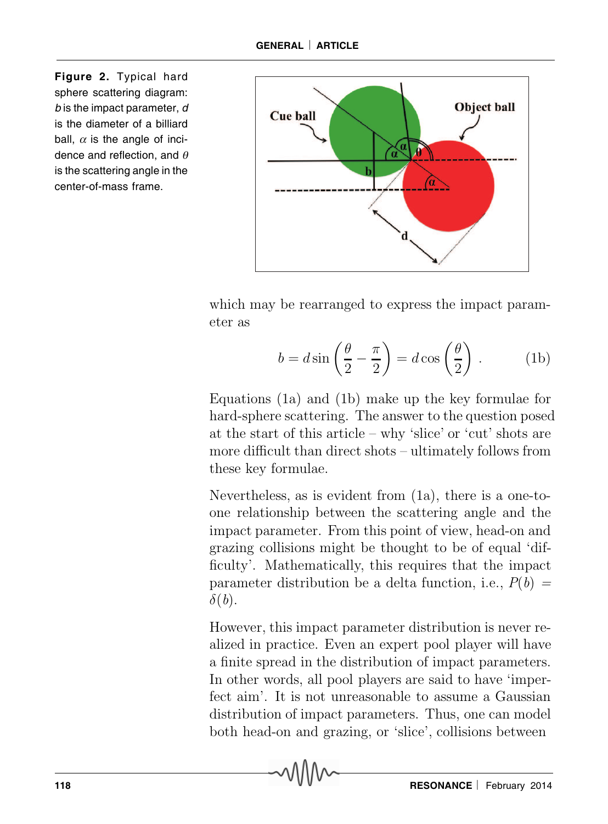**Figure 2.** Typical hard sphere scattering diagram: b is the impact parameter, d is the diameter of a billiard ball,  $\alpha$  is the angle of incidence and reflection, and  $\theta$ is the scattering angle in the center-of-mass frame.



which may be rearranged to express the impact parameter as

$$
b = d\sin\left(\frac{\theta}{2} - \frac{\pi}{2}\right) = d\cos\left(\frac{\theta}{2}\right). \tag{1b}
$$

Equations (1a) and (1b) make up the key formulae for hard-sphere scattering. The answer to the question posed at the start of this article – why 'slice' or 'cut' shots are more difficult than direct shots – ultimately follows from these key formulae.

Nevertheless, as is evident from (1a), there is a one-toone relationship between the scattering angle and the impact parameter. From this point of view, head-on and grazing collisions might be thought to be of equal 'difficulty'. Mathematically, this requires that the impact parameter distribution be a delta function, i.e.,  $P(b) =$  $\delta(b)$ .

However, this impact parameter distribution is never realized in practice. Even an expert pool player will have a finite spread in the distribution of impact parameters. In other words, all pool players are said to have 'imperfect aim'. It is not unreasonable to assume a Gaussian distribution of impact parameters. Thus, one can model both head-on and grazing, or 'slice', collisions between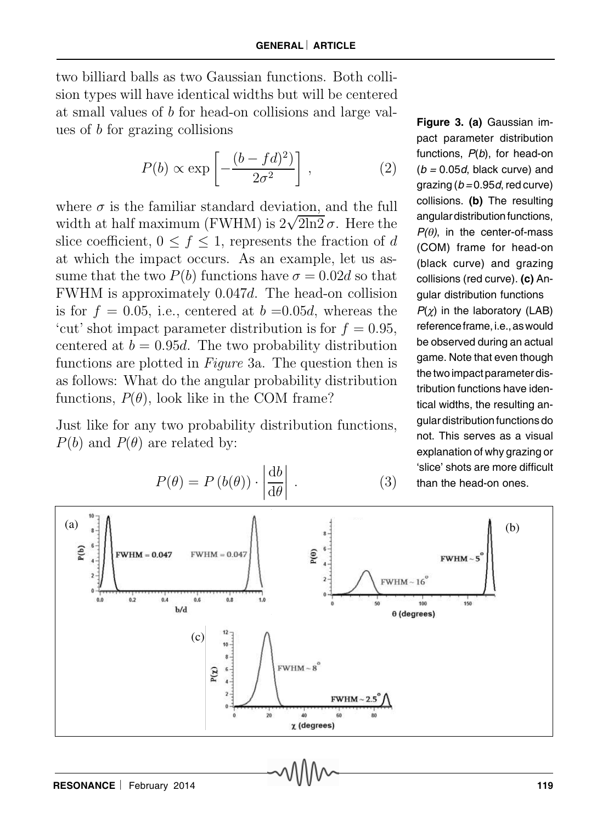two billiard balls as two Gaussian functions. Both collision types will have identical widths but will be centered at small values of b for head-on collisions and large values of b for grazing collisions

$$
P(b) \propto \exp\left[-\frac{(b - fd)^2}{2\sigma^2}\right],\tag{2}
$$

where  $\sigma$  is the familiar standard deviation, and the full width at half maximum (FWHM) is  $2\sqrt{2\ln 2} \sigma$ . Here the slice coefficient,  $0 \leq f \leq 1$ , represents the fraction of d at which the impact occurs. As an example, let us assume that the two  $P(b)$  functions have  $\sigma = 0.02d$  so that FWHM is approximately 0.047d. The head-on collision is for  $f = 0.05$ , i.e., centered at  $b = 0.05d$ , whereas the 'cut' shot impact parameter distribution is for  $f = 0.95$ , centered at  $b = 0.95d$ . The two probability distribution functions are plotted in Figure 3a. The question then is as follows: What do the angular probability distribution functions,  $P(\theta)$ , look like in the COM frame?

Just like for any two probability distribution functions,  $P(b)$  and  $P(\theta)$  are related by:

**Figure 3. (a)** Gaussian impact parameter distribution functions,  $P(b)$ , for head-on  $(b = 0.05d, black curve)$  and grazing ( $b = 0.95d$ , red curve) collisions. **(b)** The resulting angular distribution functions,  $P(\theta)$ , in the center-of-mass (COM) frame for head-on (black curve) and grazing collisions (red curve). **(c)** Angular distribution functions  $P(\chi)$  in the laboratory (LAB) reference frame, i.e., as would be observed during an actual game. Note that even though the two impact parameter distribution functions have identical widths, the resulting angular distribution functions do not. This serves as a visual explanation of why grazing or 'slice' shots are more difficult than the head-on ones.



$$
P(\theta) = P(b(\theta)) \cdot \left| \frac{\mathrm{d}b}{\mathrm{d}\theta} \right| \,. \tag{3}
$$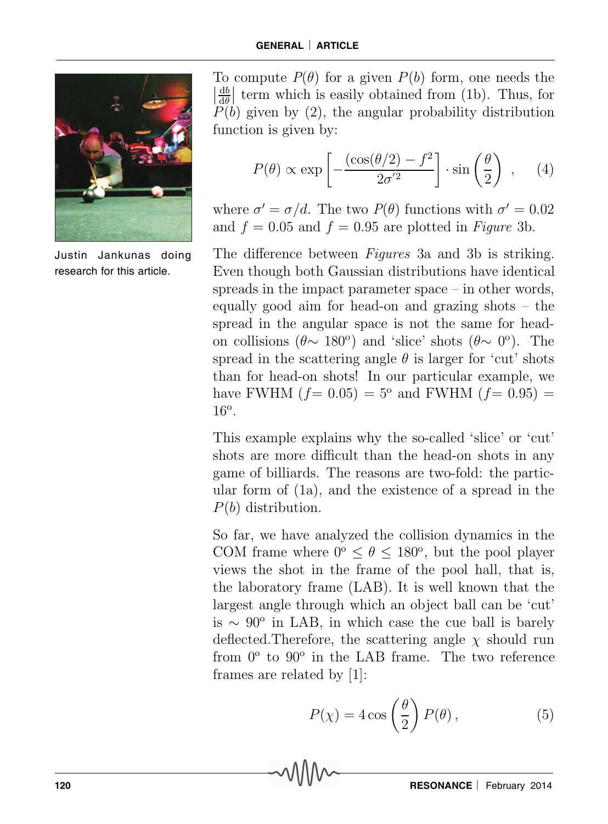

Justin Jankunas doing research for this article.

To compute  $P(\theta)$  for a given  $P(b)$  form, one needs the  $\frac{db}{d\theta}$  $\frac{1}{1}$  $\frac{d\theta}{d\theta}$  term which is easily obtained from (1b). Thus, for  $P(b)$  given by (2), the angular probability distribution function is given by:

$$
P(\theta) \propto \exp\left[-\frac{(\cos(\theta/2) - f^2)}{2\sigma^{'2}}\right] \cdot \sin\left(\frac{\theta}{2}\right) ,\quad (4)
$$

where  $\sigma' = \sigma/d$ . The two  $P(\theta)$  functions with  $\sigma' = 0.02$ and  $f = 0.05$  and  $f = 0.95$  are plotted in Figure 3b.

The difference between *Figures* 3a and 3b is striking. Even though both Gaussian distributions have identical spreads in the impact parameter space – in other words, equally good aim for head-on and grazing shots – the spread in the angular space is not the same for headon collisions ( $\theta \sim 180^\circ$ ) and 'slice' shots ( $\theta \sim 0^\circ$ ). The spread in the scattering angle  $\theta$  is larger for 'cut' shots than for head-on shots! In our particular example, we have FWHM  $(f= 0.05) = 5^{\circ}$  and FWHM  $(f= 0.95) =$  $16^{\circ}$ .

This example explains why the so-called 'slice' or 'cut' shots are more difficult than the head-on shots in any game of billiards. The reasons are two-fold: the particular form of (1a), and the existence of a spread in the P(b) distribution.

So far, we have analyzed the collision dynamics in the COM frame where  $0^{\circ} \le \theta \le 180^{\circ}$ , but the pool player views the shot in the frame of the pool hall, that is, the laboratory frame (LAB). It is well known that the largest angle through which an object ball can be 'cut' is ∼ 90<sup>o</sup> in LAB, in which case the cue ball is barely deflected. Therefore, the scattering angle  $\chi$  should run from 0° to 90° in the LAB frame. The two reference frames are related by [1]:

$$
P(\chi) = 4\cos\left(\frac{\theta}{2}\right)P(\theta),\tag{5}
$$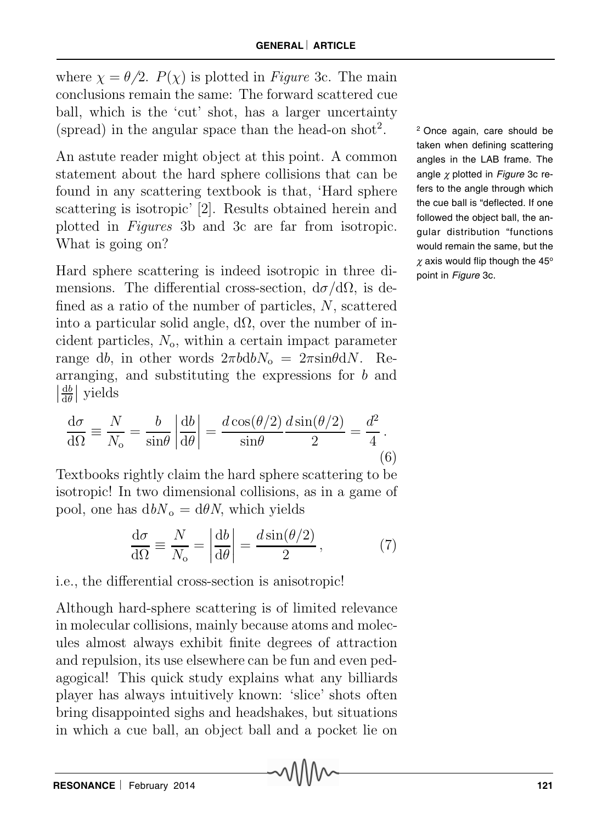where  $\chi = \theta/2$ .  $P(\chi)$  is plotted in *Figure* 3c. The main conclusions remain the same: The forward scattered cue ball, which is the 'cut' shot, has a larger uncertainty (spread) in the angular space than the head-on  $shot<sup>2</sup>$ .

An astute reader might object at this point. A common statement about the hard sphere collisions that can be found in any scattering textbook is that, 'Hard sphere scattering is isotropic' [2]. Results obtained herein and plotted in Figures 3b and 3c are far from isotropic. What is going on?

Hard sphere scattering is indeed isotropic in three dimensions. The differential cross-section,  $d\sigma/d\Omega$ , is defined as a ratio of the number of particles, N, scattered into a particular solid angle,  $d\Omega$ , over the number of incident particles,  $N<sub>o</sub>$ , within a certain impact parameter range db, in other words  $2\pi b d b N_0 = 2\pi \sin\theta dN$ . Rearranging, and substituting the expressions for b and  $\begin{array}{c} \n\end{array}$ db  $rac{\mathrm{d}b}{\mathrm{d}\theta}$  yields

$$
\frac{d\sigma}{d\Omega} \equiv \frac{N}{N_o} = \frac{b}{\sin\theta} \left| \frac{db}{d\theta} \right| = \frac{d\cos(\theta/2)}{\sin\theta} \frac{d\sin(\theta/2)}{2} = \frac{d^2}{4}.
$$
\n(6)

Textbooks rightly claim the hard sphere scattering to be isotropic! In two dimensional collisions, as in a game of pool, one has  $d b N_0 = d \theta N$ , which yields

$$
\frac{d\sigma}{d\Omega} \equiv \frac{N}{N_o} = \left| \frac{db}{d\theta} \right| = \frac{d\sin(\theta/2)}{2},\tag{7}
$$

## i.e., the differential cross-section is anisotropic!

Although hard-sphere scattering is of limited relevance in molecular collisions, mainly because atoms and molecules almost always exhibit finite degrees of attraction and repulsion, its use elsewhere can be fun and even pedagogical! This quick study explains what any billiards player has always intuitively known: 'slice' shots often bring disappointed sighs and headshakes, but situations in which a cue ball, an object ball and a pocket lie on <sup>2</sup>Once again, care should be taken when defining scattering angles in the LAB frame. The angle  $\chi$  plotted in Figure 3c refers to the angle through which the cue ball is "deflected. If one followed the object ball, the angular distribution "functions would remain the same, but the  $\chi$  axis would flip though the 45° point in Figure 3c.